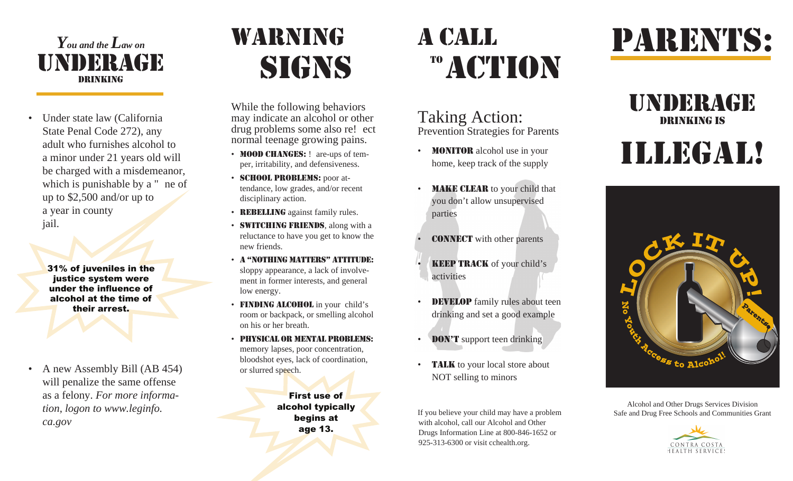#### *You and the Law on* underagedrinking

• Under state law (California State Penal Code 272), any adult who furnishes alcohol to a minor under 21 years old will be charged with a misdemeanor, which is punishable by a " ne of up to \$2,500 and/or up to a year in county jail.

31% of juveniles in the justice system were under the influence of alcohol at the time of their arrest.

• A new Assembly Bill (AB 454) will penalize the same offense as a felony. *For more information, logon to www.leginfo.ca.gov*

# warning **SIGNS**

While the following behaviors may indicate an alcohol or other drug problems some also re! ect normal teenage growing pains.

- MOOD CHANGES: ! are-ups of temper, irritability, and defensiveness.
- SCHOOL PROBLEMS: poor attendance, low grades, and/or recent disciplinary action.
- REBELLING against family rules.
- **SWITCHING FRIENDS**, along with a reluctance to have you get to know the new friends.
- a "nothing matters" attitude:sloppy appearance, a lack of involvement in former interests, and general low energy.
- **FINDING ALCOHOL** in your child's room or backpack, or smelling alcohol on his or her breath.
- physical or mental problems:memory lapses, poor concentration, bloodshot eyes, lack of coordination, or slurred speech.

First use of alcohol typically begins at age 13.

# a call <sup>TO</sup> ACTION

#### Taking Action: Prevention Strategies for Parents

- MONITOR alcohol use in your home, keep track of the supply
- **MAKE CLEAR** to your child that you don't allow unsupervised parties
- **CONNECT** with other parents
- **KEEP TRACK** of your child's activities
- **DEVELOP** family rules about teen drinking and set a good example
- DON'T support teen drinking
- **TALK** to your local store about NOT selling to minors

If you believe your child may have a problem with alcohol, call our Alcohol and Other Drugs Information Line at 800-846-1652 or 925-313-6300 or visit cchealth.org.

# parents:

### underagedrinking is illegal!



Alcohol and Other Drugs Services Division Safe and Drug Free Schools and Communities Grant